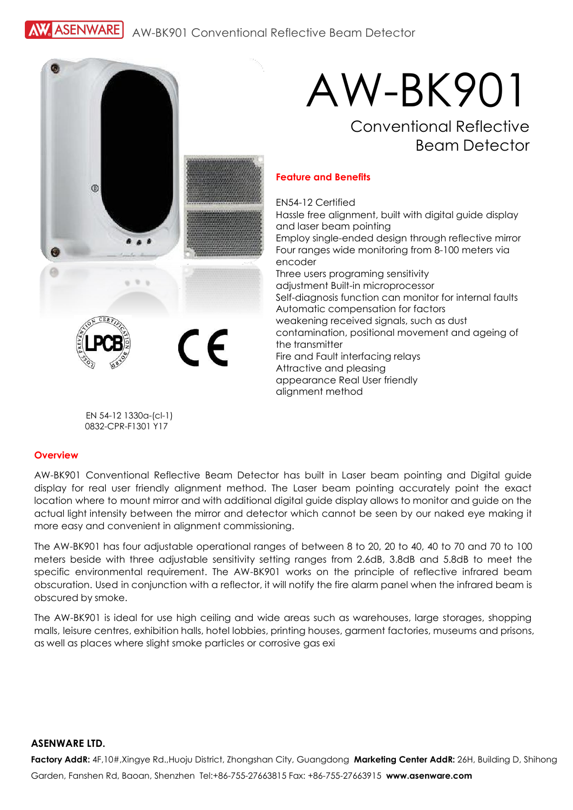**ASENWARE** AW-BK901 Conventional Reflective Beam Detector



# AW-BK901 Conventional Reflective

## Beam Detector

#### **Feature and Benefits**

EN54-12 Certified Hassle free alignment, built with digital guide display and laser beam pointing Employ single-ended design through reflective mirror Four ranges wide monitoring from 8-100 meters via encoder Three users programing sensitivity adjustment Built-in microprocessor Self-diagnosis function can monitor for internal faults Automatic compensation for factors weakening received signals, such as dust contamination, positional movement and ageing of the transmitter Fire and Fault interfacing relays Attractive and pleasing appearance Real User friendly alignment method

EN 54-12 1330a-(cl-1) 0832-CPR-F1301 Y17

#### **Overview**

AW-BK901 Conventional Reflective Beam Detector has built in Laser beam pointing and Digital guide display for real user friendly alignment method. The Laser beam pointing accurately point the exact location where to mount mirror and with additional digital guide display allows to monitor and guide on the actual light intensity between the mirror and detector which cannot be seen by our naked eye making it more easy and convenient in alianment commissioning.

The AW-BK901 has four adjustable operational ranges of between 8 to 20, 20 to 40, 40 to 70 and 70 to 100 meters beside with three adjustable sensitivity setting ranges from 2.6dB, 3.8dB and 5.8dB to meet the specific environmental requirement. The AW-BK901 works on the principle of reflective infrared beam obscuration. Used in conjunction with a reflector, it will notify the fire alarm panel when the infrared beam is obscured by smoke.

The AW-BK901 is ideal for use high ceiling and wide areas such as warehouses, large storages, shopping malls, leisure centres, exhibition halls, hotel lobbies, printing houses, garment factories, museums and prisons, as well as places where slight smoke particles or corrosive gas exi

#### **ASENWARE LTD.**

**Factory AddR:** 4F,10#,Xingye Rd.,Huoju District, Zhongshan City, Guangdong **Marketing Center AddR:** 26H, Building D, Shihong Garden, Fanshen Rd, Baoan, Shenzhen Tel:+86-755-27663815 Fax: +86-755-27663915 **[www.asenware.com](http://www.asenware.com/)**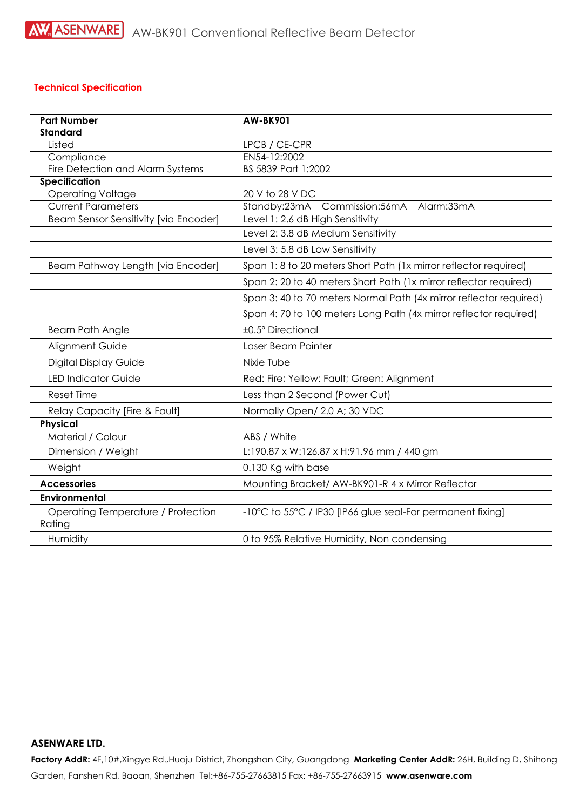## **Technical Specification**

| <b>Part Number</b>                           | <b>AW-BK901</b>                                                    |
|----------------------------------------------|--------------------------------------------------------------------|
| <b>Standard</b>                              |                                                                    |
| Listed                                       | LPCB / CE-CPR                                                      |
| Compliance                                   | EN54-12:2002                                                       |
| Fire Detection and Alarm Systems             | BS 5839 Part 1:2002                                                |
| <b>Specification</b>                         |                                                                    |
| <b>Operating Voltage</b>                     | 20 V to 28 V DC                                                    |
| <b>Current Parameters</b>                    | Standby:23mA<br>Commission:56mA Alarm:33mA                         |
| Beam Sensor Sensitivity [via Encoder]        | Level 1: 2.6 dB High Sensitivity                                   |
|                                              | Level 2: 3.8 dB Medium Sensitivity                                 |
|                                              | Level 3: 5.8 dB Low Sensitivity                                    |
| Beam Pathway Length [via Encoder]            | Span 1: 8 to 20 meters Short Path (1x mirror reflector required)   |
|                                              | Span 2: 20 to 40 meters Short Path (1x mirror reflector required)  |
|                                              | Span 3: 40 to 70 meters Normal Path (4x mirror reflector required) |
|                                              | Span 4: 70 to 100 meters Long Path (4x mirror reflector required)  |
| <b>Beam Path Angle</b>                       | ±0.5° Directional                                                  |
| Alignment Guide                              | Laser Beam Pointer                                                 |
| <b>Digital Display Guide</b>                 | Nixie Tube                                                         |
| <b>LED Indicator Guide</b>                   | Red: Fire; Yellow: Fault; Green: Alignment                         |
| <b>Reset Time</b>                            | Less than 2 Second (Power Cut)                                     |
| Relay Capacity [Fire & Fault]                | Normally Open/ 2.0 A; 30 VDC                                       |
| Physical                                     |                                                                    |
| Material / Colour                            | ABS / White                                                        |
| Dimension / Weight                           | L:190.87 x W:126.87 x H:91.96 mm / 440 gm                          |
| Weight                                       | 0.130 Kg with base                                                 |
| <b>Accessories</b>                           | Mounting Bracket/ AW-BK901-R 4 x Mirror Reflector                  |
| Environmental                                |                                                                    |
| Operating Temperature / Protection<br>Rating | -10°C to 55°C / IP30 [IP66 glue seal-For permanent fixing]         |
| Humidity                                     | 0 to 95% Relative Humidity, Non condensing                         |
|                                              |                                                                    |

### **ASENWARE LTD.**

**Factory AddR:** 4F,10#,Xingye Rd.,Huoju District, Zhongshan City, Guangdong **Marketing Center AddR:** 26H, Building D, Shihong Garden, Fanshen Rd, Baoan, Shenzhen Tel:+86-755-27663815 Fax: +86-755-27663915 **[www.asenware.com](http://www.asenware.com/)**